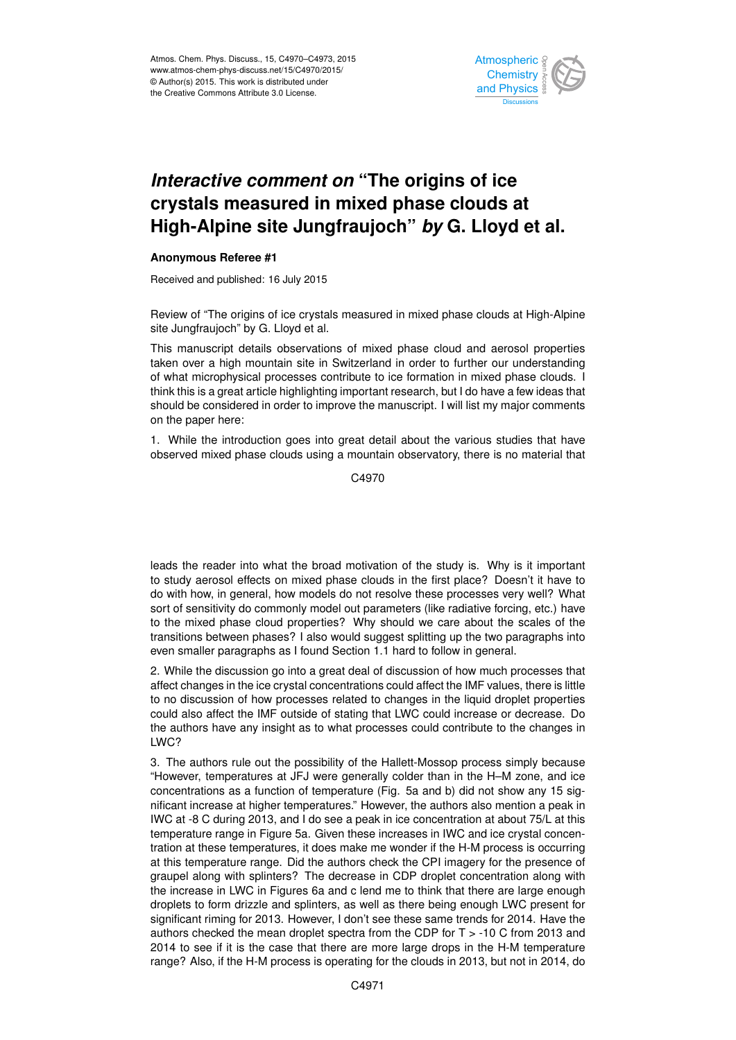

## *Interactive comment on* **"The origins of ice crystals measured in mixed phase clouds at High-Alpine site Jungfraujoch"** *by* **G. Lloyd et al.**

## **Anonymous Referee #1**

Received and published: 16 July 2015

Review of "The origins of ice crystals measured in mixed phase clouds at High-Alpine site Jungfraujoch" by G. Lloyd et al.

This manuscript details observations of mixed phase cloud and aerosol properties taken over a high mountain site in Switzerland in order to further our understanding of what microphysical processes contribute to ice formation in mixed phase clouds. I think this is a great article highlighting important research, but I do have a few ideas that should be considered in order to improve the manuscript. I will list my major comments on the paper here:

1. While the introduction goes into great detail about the various studies that have observed mixed phase clouds using a mountain observatory, there is no material that

C4970

leads the reader into what the broad motivation of the study is. Why is it important to study aerosol effects on mixed phase clouds in the first place? Doesn't it have to do with how, in general, how models do not resolve these processes very well? What sort of sensitivity do commonly model out parameters (like radiative forcing, etc.) have to the mixed phase cloud properties? Why should we care about the scales of the transitions between phases? I also would suggest splitting up the two paragraphs into even smaller paragraphs as I found Section 1.1 hard to follow in general.

2. While the discussion go into a great deal of discussion of how much processes that affect changes in the ice crystal concentrations could affect the IMF values, there is little to no discussion of how processes related to changes in the liquid droplet properties could also affect the IMF outside of stating that LWC could increase or decrease. Do the authors have any insight as to what processes could contribute to the changes in LWC?

3. The authors rule out the possibility of the Hallett-Mossop process simply because "However, temperatures at JFJ were generally colder than in the H–M zone, and ice concentrations as a function of temperature (Fig. 5a and b) did not show any 15 significant increase at higher temperatures." However, the authors also mention a peak in IWC at -8 C during 2013, and I do see a peak in ice concentration at about 75/L at this temperature range in Figure 5a. Given these increases in IWC and ice crystal concentration at these temperatures, it does make me wonder if the H-M process is occurring at this temperature range. Did the authors check the CPI imagery for the presence of graupel along with splinters? The decrease in CDP droplet concentration along with the increase in LWC in Figures 6a and c lend me to think that there are large enough droplets to form drizzle and splinters, as well as there being enough LWC present for significant riming for 2013. However, I don't see these same trends for 2014. Have the authors checked the mean droplet spectra from the CDP for  $T > -10$  C from 2013 and 2014 to see if it is the case that there are more large drops in the H-M temperature range? Also, if the H-M process is operating for the clouds in 2013, but not in 2014, do